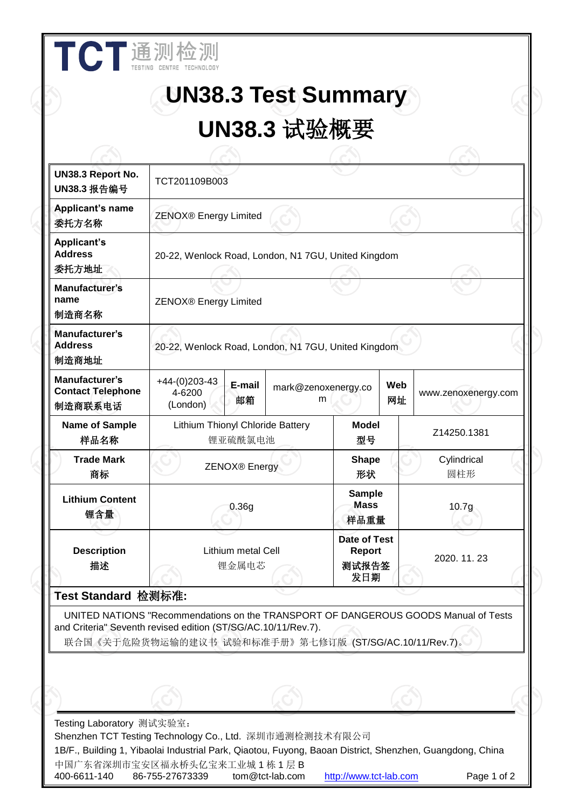|                                                       | <b>UN38.3 Test Summary</b>                                                                                                                                                                                     |                          |                                               |  |                     |  |
|-------------------------------------------------------|----------------------------------------------------------------------------------------------------------------------------------------------------------------------------------------------------------------|--------------------------|-----------------------------------------------|--|---------------------|--|
|                                                       | UN38.3 试验概要                                                                                                                                                                                                    |                          |                                               |  |                     |  |
|                                                       |                                                                                                                                                                                                                |                          |                                               |  |                     |  |
| UN38.3 Report No.<br>UN38.3 报告编号                      | TCT201109B003                                                                                                                                                                                                  |                          |                                               |  |                     |  |
| Applicant's name<br>委托方名称                             | ZENOX® Energy Limited                                                                                                                                                                                          |                          |                                               |  |                     |  |
| <b>Applicant's</b><br><b>Address</b><br>委托方地址         | 20-22, Wenlock Road, London, N1 7GU, United Kingdom                                                                                                                                                            |                          |                                               |  |                     |  |
| Manufacturer's<br>name<br>制造商名称                       | <b>ZENOX®</b> Energy Limited                                                                                                                                                                                   |                          |                                               |  |                     |  |
| Manufacturer's<br><b>Address</b><br>制造商地址             | 20-22, Wenlock Road, London, N1 7GU, United Kingdom                                                                                                                                                            |                          |                                               |  |                     |  |
| Manufacturer's<br><b>Contact Telephone</b><br>制造商联系电话 | $+44-(0)203-43$<br>E-mail<br>4-6200<br>邮箱<br>(London)                                                                                                                                                          | mark@zenoxenergy.co<br>m | Web<br>网址                                     |  | www.zenoxenergy.com |  |
| Name of Sample<br>样品名称                                | Lithium Thionyl Chloride Battery<br>锂亚硫酰氯电池                                                                                                                                                                    |                          | <b>Model</b><br>型号                            |  | Z14250.1381         |  |
| Trade Mark<br>商标                                      | ZENOX <sup>®</sup> Energy                                                                                                                                                                                      |                          | <b>Shape</b><br>形状                            |  | Cylindrical<br>圆柱形  |  |
| <b>Lithium Content</b><br>锂含量                         | 0.36g                                                                                                                                                                                                          |                          | <b>Sample</b><br><b>Mass</b><br>样品重量          |  | 10.7 <sub>g</sub>   |  |
| <b>Description</b><br>描述                              | Lithium metal Cell<br>锂金属电芯                                                                                                                                                                                    |                          | <b>Date of Test</b><br>Report<br>测试报告签<br>发日期 |  | 2020.11.23          |  |
| Test Standard 检测标准:                                   |                                                                                                                                                                                                                |                          |                                               |  |                     |  |
|                                                       | UNITED NATIONS "Recommendations on the TRANSPORT OF DANGEROUS GOODS Manual of Tests<br>and Criteria" Seventh revised edition (ST/SG/AC.10/11/Rev.7).<br>联合国《关于危险货物运输的建议书 试验和标准手册》第七修订版 (ST/SG/AC.10/11/Rev.7)。 |                          |                                               |  |                     |  |
|                                                       |                                                                                                                                                                                                                |                          |                                               |  |                     |  |